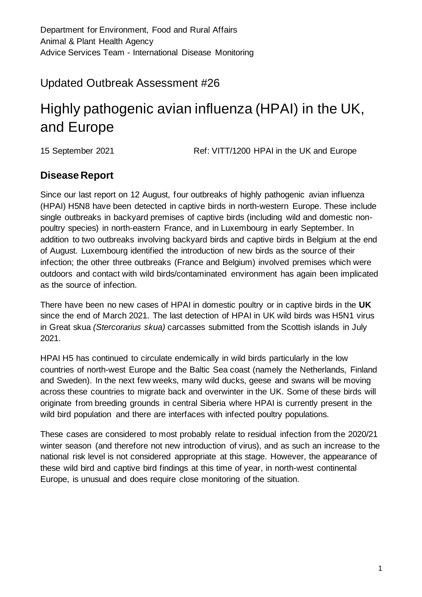# Updated Outbreak Assessment #26

# Highly pathogenic avian influenza (HPAI) in the UK, and Europe

15 September 2021 Ref: VITT/1200 HPAI in the UK and Europe

## **Disease Report**

Since our last report on 12 August, four outbreaks of highly pathogenic avian influenza (HPAI) H5N8 have been detected in captive birds in north-western Europe. These include single outbreaks in backyard premises of captive birds (including wild and domestic nonpoultry species) in north-eastern France, and in Luxembourg in early September. In addition to two outbreaks involving backyard birds and captive birds in Belgium at the end of August. Luxembourg identified the introduction of new birds as the source of their infection; the other three outbreaks (France and Belgium) involved premises which were outdoors and contact with wild birds/contaminated environment has again been implicated as the source of infection.

There have been no new cases of HPAI in domestic poultry or in captive birds in the **UK** since the end of March 2021. The last detection of HPAI in UK wild birds was H5N1 virus in Great skua *(Stercorarius skua)* carcasses submitted from the Scottish islands in July 2021.

HPAI H5 has continued to circulate endemically in wild birds particularly in the low countries of north-west Europe and the Baltic Sea coast (namely the Netherlands, Finland and Sweden). In the next few weeks, many wild ducks, geese and swans will be moving across these countries to migrate back and overwinter in the UK. Some of these birds will originate from breeding grounds in central Siberia where HPAI is currently present in the wild bird population and there are interfaces with infected poultry populations.

These cases are considered to most probably relate to residual infection from the 2020/21 winter season (and therefore not new introduction of virus), and as such an increase to the national risk level is not considered appropriate at this stage. However, the appearance of these wild bird and captive bird findings at this time of year, in north-west continental Europe, is unusual and does require close monitoring of the situation.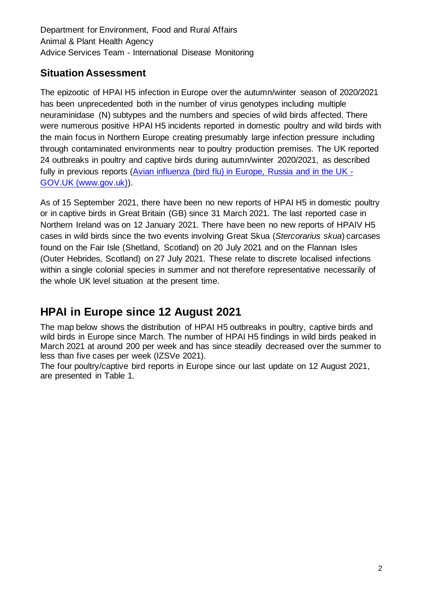## **Situation Assessment**

The epizootic of HPAI H5 infection in Europe over the autumn/winter season of 2020/2021 has been unprecedented both in the number of virus genotypes including multiple neuraminidase (N) subtypes and the numbers and species of wild birds affected. There were numerous positive HPAI H5 incidents reported in domestic poultry and wild birds with the main focus in Northern Europe creating presumably large infection pressure including through contaminated environments near to poultry production premises. The UK reported 24 outbreaks in poultry and captive birds during autumn/winter 2020/2021, as described fully in previous reports [\(Avian influenza \(bird flu\) in Europe, Russia and in the UK -](https://www.gov.uk/government/publications/avian-influenza-bird-flu-in-europe) [GOV.UK \(www.gov.uk\)\)](https://www.gov.uk/government/publications/avian-influenza-bird-flu-in-europe).

As of 15 September 2021, there have been no new reports of HPAI H5 in domestic poultry or in captive birds in Great Britain (GB) since 31 March 2021. The last reported case in Northern Ireland was on 12 January 2021. There have been no new reports of HPAIV H5 cases in wild birds since the two events involving Great Skua (*Stercorarius skua*) carcases found on the Fair Isle (Shetland, Scotland) on 20 July 2021 and on the Flannan Isles (Outer Hebrides, Scotland) on 27 July 2021. These relate to discrete localised infections within a single colonial species in summer and not therefore representative necessarily of the whole UK level situation at the present time.

# **HPAI in Europe since 12 August 2021**

The map below shows the distribution of HPAI H5 outbreaks in poultry, captive birds and wild birds in Europe since March. The number of HPAI H5 findings in wild birds peaked in March 2021 at around 200 per week and has since steadily decreased over the summer to less than five cases per week (IZSVe 2021).

The four poultry/captive bird reports in Europe since our last update on 12 August 2021, are presented in Table 1.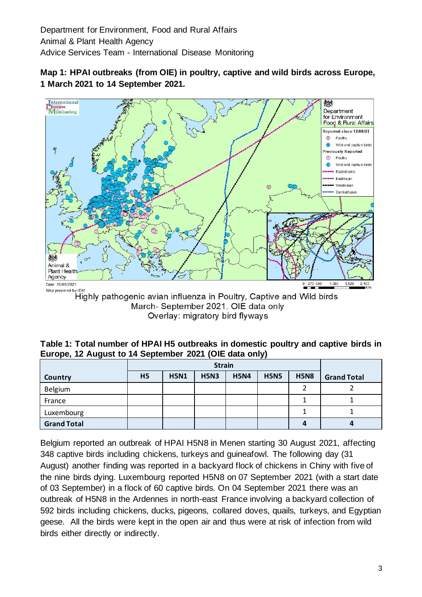



Overlay: migratory bird flyways

**Table 1: Total number of HPAI H5 outbreaks in domestic poultry and captive birds in Europe, 12 August to 14 September 2021 (OIE data only)**

|                    | <b>Strain</b>  |             |             |             |             |             |                    |
|--------------------|----------------|-------------|-------------|-------------|-------------|-------------|--------------------|
| Country            | H <sub>5</sub> | <b>H5N1</b> | <b>H5N3</b> | <b>H5N4</b> | <b>H5N5</b> | <b>H5N8</b> | <b>Grand Total</b> |
| <b>Belgium</b>     |                |             |             |             |             |             |                    |
| France             |                |             |             |             |             |             |                    |
| Luxembourg         |                |             |             |             |             |             |                    |
| <b>Grand Total</b> |                |             |             |             |             |             |                    |

Belgium reported an outbreak of HPAI H5N8 in Menen starting 30 August 2021, affecting 348 captive birds including chickens, turkeys and guineafowl. The following day (31 August) another finding was reported in a backyard flock of chickens in Chiny with five of the nine birds dying. Luxembourg reported H5N8 on 07 September 2021 (with a start date of 03 September) in a flock of 60 captive birds. On 04 September 2021 there was an outbreak of H5N8 in the Ardennes in north-east France involving a backyard collection of 592 birds including chickens, ducks, pigeons, collared doves, quails, turkeys, and Egyptian geese. All the birds were kept in the open air and thus were at risk of infection from wild birds either directly or indirectly.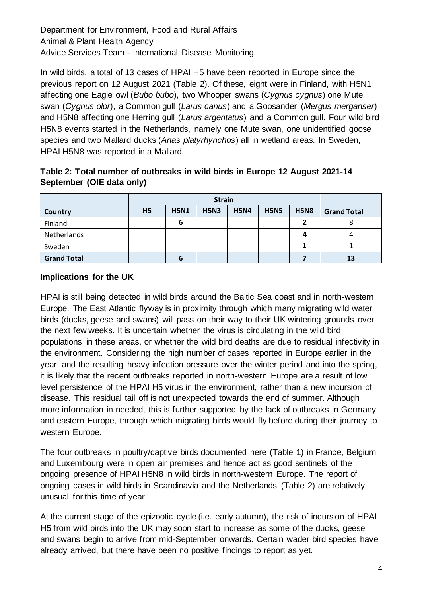In wild birds, a total of 13 cases of HPAI H5 have been reported in Europe since the previous report on 12 August 2021 (Table 2). Of these, eight were in Finland, with H5N1 affecting one Eagle owl (*Bubo bubo*), two Whooper swans (*Cygnus cygnus*) one Mute swan (*Cygnus olor*), a Common gull (*Larus canus*) and a Goosander (*Mergus merganser*) and H5N8 affecting one Herring gull (*Larus argentatus*) and a Common gull. Four wild bird H5N8 events started in the Netherlands, namely one Mute swan, one unidentified goose species and two Mallard ducks (*Anas platyrhynchos*) all in wetland areas. In Sweden, HPAI H5N8 was reported in a Mallard.

| Table 2: Total number of outbreaks in wild birds in Europe 12 August 2021-14 |  |  |
|------------------------------------------------------------------------------|--|--|
| September (OIE data only)                                                    |  |  |

|                    | <b>Strain</b>  |             |             |             |             |             |                    |
|--------------------|----------------|-------------|-------------|-------------|-------------|-------------|--------------------|
| Country            | H <sub>5</sub> | <b>H5N1</b> | <b>H5N3</b> | <b>H5N4</b> | <b>H5N5</b> | <b>H5N8</b> | <b>Grand Total</b> |
| Finland            |                | 6           |             |             |             | 2           | ٥                  |
| Netherlands        |                |             |             |             |             |             | 4                  |
| Sweden             |                |             |             |             |             |             |                    |
| <b>Grand Total</b> |                | 6           |             |             |             |             | 13                 |

#### **Implications for the UK**

HPAI is still being detected in wild birds around the Baltic Sea coast and in north-western Europe. The East Atlantic flyway is in proximity through which many migrating wild water birds (ducks, geese and swans) will pass on their way to their UK wintering grounds over the next few weeks. It is uncertain whether the virus is circulating in the wild bird populations in these areas, or whether the wild bird deaths are due to residual infectivity in the environment. Considering the high number of cases reported in Europe earlier in the year and the resulting heavy infection pressure over the winter period and into the spring, it is likely that the recent outbreaks reported in north-western Europe are a result of low level persistence of the HPAI H5 virus in the environment, rather than a new incursion of disease. This residual tail off is not unexpected towards the end of summer. Although more information in needed, this is further supported by the lack of outbreaks in Germany and eastern Europe, through which migrating birds would fly before during their journey to western Europe.

The four outbreaks in poultry/captive birds documented here (Table 1) in France, Belgium and Luxembourg were in open air premises and hence act as good sentinels of the ongoing presence of HPAI H5N8 in wild birds in north-western Europe. The report of ongoing cases in wild birds in Scandinavia and the Netherlands (Table 2) are relatively unusual for this time of year.

At the current stage of the epizootic cycle (i.e. early autumn), the risk of incursion of HPAI H5 from wild birds into the UK may soon start to increase as some of the ducks, geese and swans begin to arrive from mid-September onwards. Certain wader bird species have already arrived, but there have been no positive findings to report as yet.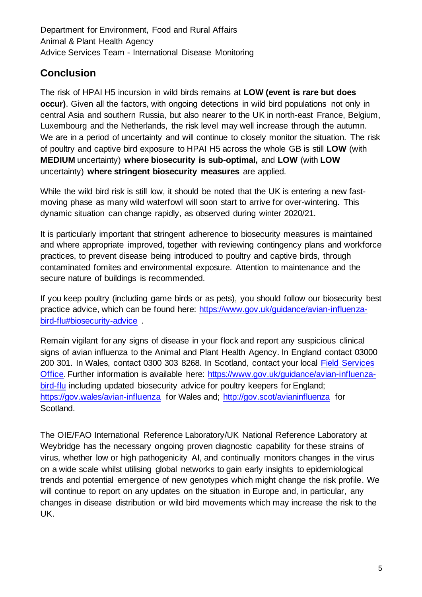# **Conclusion**

The risk of HPAI H5 incursion in wild birds remains at **LOW (event is rare but does occur)**. Given all the factors, with ongoing detections in wild bird populations not only in central Asia and southern Russia, but also nearer to the UK in north-east France, Belgium, Luxembourg and the Netherlands, the risk level may well increase through the autumn. We are in a period of uncertainty and will continue to closely monitor the situation. The risk of poultry and captive bird exposure to HPAI H5 across the whole GB is still **LOW** (with **MEDIUM** uncertainty) **where biosecurity is sub-optimal,** and **LOW** (with **LOW** uncertainty) **where stringent biosecurity measures** are applied.

While the wild bird risk is still low, it should be noted that the UK is entering a new fastmoving phase as many wild waterfowl will soon start to arrive for over-wintering. This dynamic situation can change rapidly, as observed during winter 2020/21.

It is particularly important that stringent adherence to biosecurity measures is maintained and where appropriate improved, together with reviewing contingency plans and workforce practices, to prevent disease being introduced to poultry and captive birds, through contaminated fomites and environmental exposure. Attention to maintenance and the secure nature of buildings is recommended.

If you keep poultry (including game birds or as pets), you should follow our biosecurity best practice advice, which can be found here: [https://www.gov.uk/guidance/avian-influenza](https://www.gov.uk/guidance/avian-influenza-bird-flu#biosecurity-advice)[bird-flu#biosecurity-advice](https://www.gov.uk/guidance/avian-influenza-bird-flu#biosecurity-advice) .

Remain vigilant for any signs of disease in your flock and report any suspicious clinical signs of avian influenza to the Animal and Plant Health Agency. In England contact 03000 200 301. In Wales, contact 0300 303 8268. In Scotland, contact your local [Field Services](https://www.gov.uk/government/organisations/animal-and-plant-health-agency/about/access-and-opening#scotland-field-service-offices)  [Office.](https://www.gov.uk/government/organisations/animal-and-plant-health-agency/about/access-and-opening#scotland-field-service-offices) Further information is available here: [https://www.gov.uk/guidance/avian-influenza](https://www.gov.uk/guidance/avian-influenza-bird-flu)[bird-flu](https://www.gov.uk/guidance/avian-influenza-bird-flu) including updated biosecurity advice for poultry keepers for England; <https://gov.wales/avian-influenza> for Wales and;<http://gov.scot/avianinfluenza> for Scotland.

The OIE/FAO International Reference Laboratory/UK National Reference Laboratory at Weybridge has the necessary ongoing proven diagnostic capability for these strains of virus, whether low or high pathogenicity AI, and continually monitors changes in the virus on a wide scale whilst utilising global networks to gain early insights to epidemiological trends and potential emergence of new genotypes which might change the risk profile. We will continue to report on any updates on the situation in Europe and, in particular, any changes in disease distribution or wild bird movements which may increase the risk to the UK.